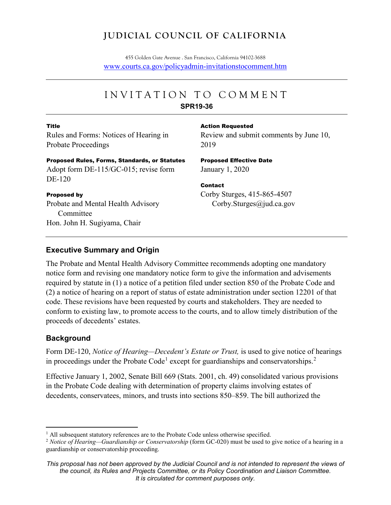# **JUDICIAL COUNCIL OF CALIFORNIA**

455 Golden Gate Avenue . San Francisco, California 94102-3688 [www.courts.ca.gov/policyadmin-invitationstocomment.htm](http://www.courts.ca.gov/policyadmin-invitationstocomment.htm)

# INVITATION TO COMMEN T **SPR19-36**

#### Title

Rules and Forms: Notices of Hearing in Probate Proceedings

#### Action Requested

Review and submit comments by June 10, 2019

### Proposed Rules, Forms, Standards, or Statutes

Adopt form DE-115/GC-015; revise form DE-120

#### Proposed by

Probate and Mental Health Advisory Committee Hon. John H. Sugiyama, Chair

Proposed Effective Date January 1, 2020

Contact Corby Sturges, 415-865-4507 Corby.Sturges@jud.ca.gov

### **Executive Summary and Origin**

The Probate and Mental Health Advisory Committee recommends adopting one mandatory notice form and revising one mandatory notice form to give the information and advisements required by statute in (1) a notice of a petition filed under section 850 of the Probate Code and (2) a notice of hearing on a report of status of estate administration under section 12201 of that code. These revisions have been requested by courts and stakeholders. They are needed to conform to existing law, to promote access to the courts, and to allow timely distribution of the proceeds of decedents' estates.

### **Background**

Form DE-120, *Notice of Hearing—Decedent's Estate or Trust,* is used to give notice of hearings in proceedings under the Probate Code<sup>[1](#page-0-0)</sup> except for guardianships and conservatorships.<sup>[2](#page-0-1)</sup>

Effective January 1, 2002, Senate Bill 669 (Stats. 2001, ch. 49) consolidated various provisions in the Probate Code dealing with determination of property claims involving estates of decedents, conservatees, minors, and trusts into sections 850–859. The bill authorized the

<span id="page-0-0"></span><sup>&</sup>lt;sup>1</sup> All subsequent statutory references are to the Probate Code unless otherwise specified.

<span id="page-0-1"></span><sup>&</sup>lt;sup>2</sup> *Notice of Hearing—Guardianship or Conservatorship* (form GC-020) must be used to give notice of a hearing in a guardianship or conservatorship proceeding.

*This proposal has not been approved by the Judicial Council and is not intended to represent the views of the council, its Rules and Projects Committee, or its Policy Coordination and Liaison Committee. It is circulated for comment purposes only.*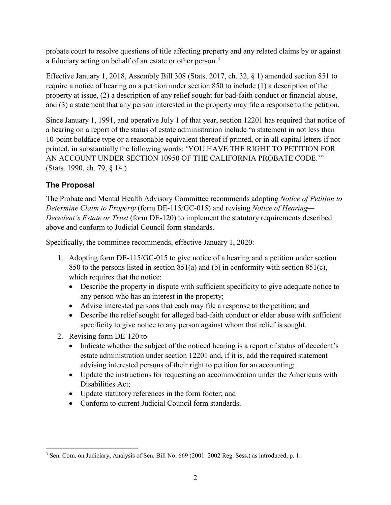probate court to resolve questions of title affecting property and any related claims by or against a fiduciary acting on behalf of an estate or other person.<sup>[3](#page-1-0)</sup>

Effective January 1, 2018, Assembly Bill 308 (Stats. 2017, ch. 32, § 1) amended section 851 to require a notice of hearing on a petition under section 850 to include (1) a description of the property at issue, (2) a description of any relief sought for bad-faith conduct or financial abuse, and (3) a statement that any person interested in the property may file a response to the petition.

Since January 1, 1991, and operative July 1 of that year, section 12201 has required that notice of a hearing on a report of the status of estate administration include "a statement in not less than 10-point boldface type or a reasonable equivalent thereof if printed, or in all capital letters if not printed, in substantially the following words: 'YOU HAVE THE RIGHT TO PETITION FOR AN ACCOUNT UNDER SECTION 10950 OF THE CALIFORNIA PROBATE CODE.'" (Stats. 1990, ch. 79, § 14.)

# **The Proposal**

The Probate and Mental Health Advisory Committee recommends adopting *Notice of Petition to Determine Claim to Property* (form DE-115/GC-015) and revising *Notice of Hearing— Decedent's Estate or Trust* (form DE-120) to implement the statutory requirements described above and conform to Judicial Council form standards.

Specifically, the committee recommends, effective January 1, 2020:

- 1. Adopting form DE-115/GC-015 to give notice of a hearing and a petition under section 850 to the persons listed in section 851(a) and (b) in conformity with section 851(c), which requires that the notice:
	- Describe the property in dispute with sufficient specificity to give adequate notice to any person who has an interest in the property;
	- Advise interested persons that each may file a response to the petition; and
	- Describe the relief sought for alleged bad-faith conduct or elder abuse with sufficient specificity to give notice to any person against whom that relief is sought.
- 2. Revising form DE-120 to
	- Indicate whether the subject of the noticed hearing is a report of status of decedent's estate administration under section 12201 and, if it is, add the required statement advising interested persons of their right to petition for an accounting;
	- Update the instructions for requesting an accommodation under the Americans with Disabilities Act;
	- Update statutory references in the form footer; and
	- Conform to current Judicial Council form standards.

<span id="page-1-0"></span><sup>&</sup>lt;sup>3</sup> Sen. Com. on Judiciary, Analysis of Sen. Bill No. 669 (2001–2002 Reg. Sess.) as introduced, p. 1.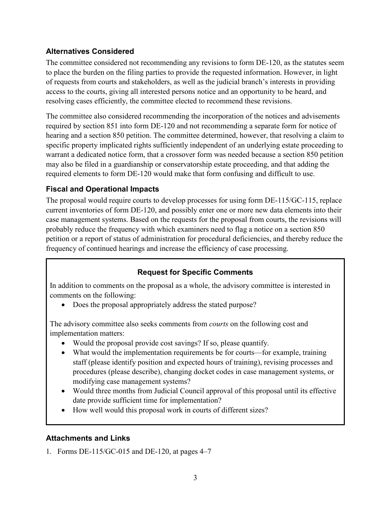## **Alternatives Considered**

The committee considered not recommending any revisions to form DE-120, as the statutes seem to place the burden on the filing parties to provide the requested information. However, in light of requests from courts and stakeholders, as well as the judicial branch's interests in providing access to the courts, giving all interested persons notice and an opportunity to be heard, and resolving cases efficiently, the committee elected to recommend these revisions.

The committee also considered recommending the incorporation of the notices and advisements required by section 851 into form DE-120 and not recommending a separate form for notice of hearing and a section 850 petition. The committee determined, however, that resolving a claim to specific property implicated rights sufficiently independent of an underlying estate proceeding to warrant a dedicated notice form, that a crossover form was needed because a section 850 petition may also be filed in a guardianship or conservatorship estate proceeding, and that adding the required elements to form DE-120 would make that form confusing and difficult to use.

## **Fiscal and Operational Impacts**

The proposal would require courts to develop processes for using form DE-115/GC-115, replace current inventories of form DE-120, and possibly enter one or more new data elements into their case management systems. Based on the requests for the proposal from courts, the revisions will probably reduce the frequency with which examiners need to flag a notice on a section 850 petition or a report of status of administration for procedural deficiencies, and thereby reduce the frequency of continued hearings and increase the efficiency of case processing.

# **Request for Specific Comments**

In addition to comments on the proposal as a whole, the advisory committee is interested in comments on the following:

• Does the proposal appropriately address the stated purpose?

The advisory committee also seeks comments from *courts* on the following cost and implementation matters:

- Would the proposal provide cost savings? If so, please quantify.
- What would the implementation requirements be for courts—for example, training staff (please identify position and expected hours of training), revising processes and procedures (please describe), changing docket codes in case management systems, or modifying case management systems?
- Would three months from Judicial Council approval of this proposal until its effective date provide sufficient time for implementation?
- How well would this proposal work in courts of different sizes?

### **Attachments and Links**

1. Forms DE-115/GC-015 and DE-120, at pages 4–7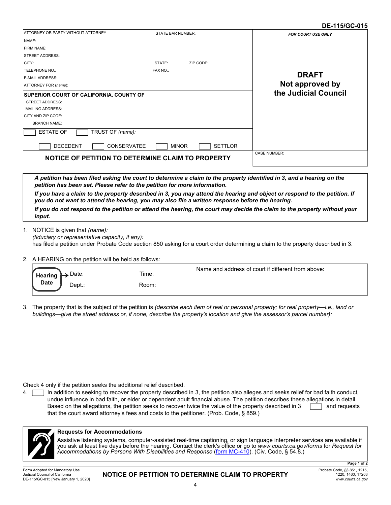#### **DE-115/GC-015**

|                                                                                                                                                                                                                                          |                          |                | UL 11VVVVIV               |
|------------------------------------------------------------------------------------------------------------------------------------------------------------------------------------------------------------------------------------------|--------------------------|----------------|---------------------------|
| ATTORNEY OR PARTY WITHOUT ATTORNEY                                                                                                                                                                                                       | <b>STATE BAR NUMBER:</b> |                | <b>FOR COURT USE ONLY</b> |
| NAME:                                                                                                                                                                                                                                    |                          |                |                           |
| <b>FIRM NAME:</b>                                                                                                                                                                                                                        |                          |                |                           |
| <b>STREET ADDRESS:</b>                                                                                                                                                                                                                   |                          |                |                           |
| CITY:                                                                                                                                                                                                                                    | STATE:                   | ZIP CODE:      |                           |
| <b>TELEPHONE NO.:</b>                                                                                                                                                                                                                    | FAX NO.:                 |                |                           |
| <b>E-MAIL ADDRESS:</b>                                                                                                                                                                                                                   |                          |                | <b>DRAFT</b>              |
| ATTORNEY FOR (name):                                                                                                                                                                                                                     |                          |                | Not approved by           |
| <b>SUPERIOR COURT OF CALIFORNIA, COUNTY OF</b><br><b>STREET ADDRESS:</b><br><b>MAILING ADDRESS:</b><br><b>CITY AND ZIP CODE:</b><br><b>BRANCH NAME:</b><br><b>ESTATE OF</b><br>TRUST OF (name):<br><b>DECEDENT</b><br><b>CONSERVATEE</b> | <b>MINOR</b>             | <b>SETTLOR</b> | the Judicial Council      |
| NOTICE OF PETITION TO DETERMINE CLAIM TO PROPERTY                                                                                                                                                                                        |                          |                | <b>CASE NUMBER:</b>       |
|                                                                                                                                                                                                                                          |                          |                |                           |

*A petition has been filed asking the court to determine a claim to the property identified in 3, and a hearing on the petition has been set. Please refer to the petition for more information.* 

*If you have a claim to the property described in 3, you may attend the hearing and object or respond to the petition. If you do not want to attend the hearing, you may also file a written response before the hearing.* 

*If you do not respond to the petition or attend the hearing, the court may decide the claim to the property without your input.*

NOTICE is given that *(name):* 1.

*(fiduciary or representative capacity, if any):* has filed a petition under Probate Code section 850 asking for a court order determining a claim to the property described in 3.

2. A HEARING on the petition will be held as follows:

| Date:<br>Hearing      | Time: | Name and address of court if different from above: |
|-----------------------|-------|----------------------------------------------------|
| <b>Date</b><br>Dept.: | Room: |                                                    |

3. The property that is the subject of the petition is *(describe each item of real or personal property; for real property—i.e., land or buildings—give the street address or, if none, describe the property's location and give the assessor's parcel number):*

Check 4 only if the petition seeks the additional relief described.

4. In addition to seeking to recover the property described in 3, the petition also alleges and seeks relief for bad faith conduct, undue influence in bad faith, or elder or dependent adult financial abuse. The petition describes these allegations in detail. Based on the allegations, the petition seeks to recover twice the value of the property described in 3 and requests that the court award attorney's fees and costs to the petitioner. (Prob. Code, § 859.)



#### **Requests for Accommodations**

Assistive listening systems, computer-assisted real-time captioning, or sign language interpreter services are available if you ask at least five days before the hearing. Contact the clerk's office or go to *www.courts.ca.gov/forms* for *Request for Accommodations by Persons With Disabilities and Response* (form MC-410). (Civ. Code, § 54.8.)

**NOTICE OF PETITION TO DETERMINE CLAIM TO PROPERTY**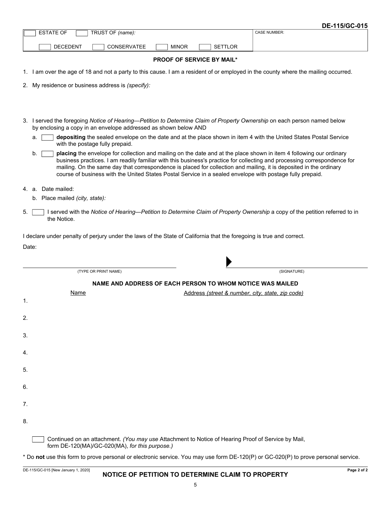|       |                                                                                                                                                                                                                                 |              |                                                  | DE-115/GC-015                                                                                                                                                                                                                                   |
|-------|---------------------------------------------------------------------------------------------------------------------------------------------------------------------------------------------------------------------------------|--------------|--------------------------------------------------|-------------------------------------------------------------------------------------------------------------------------------------------------------------------------------------------------------------------------------------------------|
|       | <b>ESTATE OF</b><br>TRUST OF (name):                                                                                                                                                                                            |              |                                                  | <b>CASE NUMBER:</b>                                                                                                                                                                                                                             |
|       | <b>DECEDENT</b><br><b>CONSERVATEE</b>                                                                                                                                                                                           | <b>MINOR</b> | <b>SETTLOR</b>                                   |                                                                                                                                                                                                                                                 |
|       |                                                                                                                                                                                                                                 |              | <b>PROOF OF SERVICE BY MAIL*</b>                 |                                                                                                                                                                                                                                                 |
|       |                                                                                                                                                                                                                                 |              |                                                  | 1. I am over the age of 18 and not a party to this cause. I am a resident of or employed in the county where the mailing occurred.                                                                                                              |
|       | 2. My residence or business address is (specify):                                                                                                                                                                               |              |                                                  |                                                                                                                                                                                                                                                 |
|       |                                                                                                                                                                                                                                 |              |                                                  |                                                                                                                                                                                                                                                 |
|       |                                                                                                                                                                                                                                 |              |                                                  |                                                                                                                                                                                                                                                 |
|       | 3. I served the foregoing Notice of Hearing—Petition to Determine Claim of Property Ownership on each person named below<br>by enclosing a copy in an envelope addressed as shown below AND                                     |              |                                                  |                                                                                                                                                                                                                                                 |
| a.    | with the postage fully prepaid.                                                                                                                                                                                                 |              |                                                  | depositing the sealed envelope on the date and at the place shown in item 4 with the United States Postal Service                                                                                                                               |
| b.    | mailing. On the same day that correspondence is placed for collection and mailing, it is deposited in the ordinary<br>course of business with the United States Postal Service in a sealed envelope with postage fully prepaid. |              |                                                  | placing the envelope for collection and mailing on the date and at the place shown in item 4 following our ordinary<br>business practices. I am readily familiar with this business's practice for collecting and processing correspondence for |
|       | 4. a. Date mailed:                                                                                                                                                                                                              |              |                                                  |                                                                                                                                                                                                                                                 |
|       | b. Place mailed (city, state):                                                                                                                                                                                                  |              |                                                  |                                                                                                                                                                                                                                                 |
| 5.    | the Notice.                                                                                                                                                                                                                     |              |                                                  | I served with the Notice of Hearing—Petition to Determine Claim of Property Ownership a copy of the petition referred to in                                                                                                                     |
| Date: |                                                                                                                                                                                                                                 |              |                                                  |                                                                                                                                                                                                                                                 |
|       | (TYPE OR PRINT NAME)                                                                                                                                                                                                            |              |                                                  | (SIGNATURE)                                                                                                                                                                                                                                     |
|       | NAME AND ADDRESS OF EACH PERSON TO WHOM NOTICE WAS MAILED                                                                                                                                                                       |              |                                                  |                                                                                                                                                                                                                                                 |
|       | Name                                                                                                                                                                                                                            |              | Address (street & number, city, state, zip code) |                                                                                                                                                                                                                                                 |
| 1.    |                                                                                                                                                                                                                                 |              |                                                  |                                                                                                                                                                                                                                                 |
| 2.    |                                                                                                                                                                                                                                 |              |                                                  |                                                                                                                                                                                                                                                 |
| 3.    |                                                                                                                                                                                                                                 |              |                                                  |                                                                                                                                                                                                                                                 |
|       |                                                                                                                                                                                                                                 |              |                                                  |                                                                                                                                                                                                                                                 |
| 4.    |                                                                                                                                                                                                                                 |              |                                                  |                                                                                                                                                                                                                                                 |
| 5.    |                                                                                                                                                                                                                                 |              |                                                  |                                                                                                                                                                                                                                                 |
|       |                                                                                                                                                                                                                                 |              |                                                  |                                                                                                                                                                                                                                                 |
| 6.    |                                                                                                                                                                                                                                 |              |                                                  |                                                                                                                                                                                                                                                 |
| 7.    |                                                                                                                                                                                                                                 |              |                                                  |                                                                                                                                                                                                                                                 |
| 8.    |                                                                                                                                                                                                                                 |              |                                                  |                                                                                                                                                                                                                                                 |
|       |                                                                                                                                                                                                                                 |              |                                                  |                                                                                                                                                                                                                                                 |
|       | Continued on an attachment. (You may use Attachment to Notice of Hearing Proof of Service by Mail,<br>form DE-120(MA)/GC-020(MA), for this purpose.)                                                                            |              |                                                  |                                                                                                                                                                                                                                                 |

\* Do **not** use this form to prove personal or electronic service. You may use form DE-120(P) or GC-020(P) to prove personal service.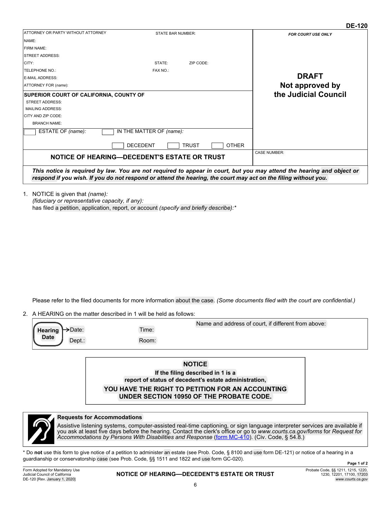|                                                                                                                                                                       |                                             |                              | ∪∟−ו∠ט                                                                                                                                                                                                                                  |
|-----------------------------------------------------------------------------------------------------------------------------------------------------------------------|---------------------------------------------|------------------------------|-----------------------------------------------------------------------------------------------------------------------------------------------------------------------------------------------------------------------------------------|
| ATTORNEY OR PARTY WITHOUT ATTORNEY                                                                                                                                    | <b>STATE BAR NUMBER:</b>                    |                              | <b>FOR COURT USE ONLY</b>                                                                                                                                                                                                               |
| NAME:                                                                                                                                                                 |                                             |                              |                                                                                                                                                                                                                                         |
| <b>FIRM NAME:</b>                                                                                                                                                     |                                             |                              |                                                                                                                                                                                                                                         |
| <b>STREET ADDRESS:</b>                                                                                                                                                |                                             |                              |                                                                                                                                                                                                                                         |
| CITY:                                                                                                                                                                 | STATE:                                      | ZIP CODE:                    |                                                                                                                                                                                                                                         |
| <b>TELEPHONE NO.:</b>                                                                                                                                                 | FAX NO.:                                    |                              |                                                                                                                                                                                                                                         |
| <b>E-MAIL ADDRESS:</b>                                                                                                                                                |                                             |                              | <b>DRAFT</b>                                                                                                                                                                                                                            |
| ATTORNEY FOR (name):                                                                                                                                                  |                                             |                              | Not approved by                                                                                                                                                                                                                         |
| <b>SUPERIOR COURT OF CALIFORNIA, COUNTY OF</b><br><b>STREET ADDRESS:</b><br><b>MAILING ADDRESS:</b><br>CITY AND ZIP CODE:<br><b>BRANCH NAME:</b><br>ESTATE OF (name): | IN THE MATTER OF (name):<br><b>DECEDENT</b> | <b>OTHER</b><br><b>TRUST</b> | the Judicial Council                                                                                                                                                                                                                    |
| <b>NOTICE OF HEARING—DECEDENT'S ESTATE OR TRUST</b>                                                                                                                   |                                             |                              | <b>CASE NUMBER:</b>                                                                                                                                                                                                                     |
|                                                                                                                                                                       |                                             |                              | This notice is required by law. You are not required to appear in court, but you may attend the hearing and object or<br>respond if you wish. If you do not respond or attend the hearing, the court may act on the filing without you. |

NOTICE is given that *(name):* 1. *(fiduciary or representative capacity, if any):* has filed a petition, application, report, or account *(specify and briefly describe):\**

Please refer to the filed documents for more information about the case. *(Some documents filed with the court are confidential.)*

2. A HEARING on the matter described in 1 will be held as follows:

|                             |       | Name and address of court, if different from above: |
|-----------------------------|-------|-----------------------------------------------------|
| $Hearing \rightarrow$ Date: | Time: |                                                     |
| <b>Date</b><br>$Dept.$ :    | Room: |                                                     |

**NOTICE If the filing described in 1 is a report of status of decedent's estate administration, YOU HAVE THE RIGHT TO PETITION FOR AN ACCOUNTING UNDER SECTION 10950 OF THE PROBATE CODE.**



#### **Requests for Accommodations**

Assistive listening systems, computer-assisted real-time captioning, or sign language interpreter services are available if you ask at least five days before the hearing. Contact the clerk's office or go to *www.courts.ca.gov/forms* for *Request for*  Accommodations by Persons With Disabilities and Response (form MC-410). (Civ. Code, § 54.8.)

\* Do **not** use this form to give notice of a petition to administer an estate (see Prob. Code, § 8100 and use form DE-121) or notice of a hearing in a guardianship or conservatorship case (see Prob. Code, §§ 1511 and 1822 and use form GC-020).

Form Adopted for Mandatory Use Judicial Council of California DE-120 [Rev. January 1, 2020]

#### **NOTICE OF HEARING—DECEDENT'S ESTATE OR TRUST**

**DE-120**